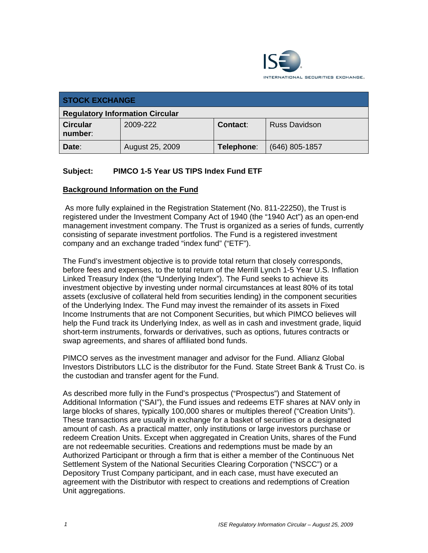

| <b>STOCK EXCHANGE</b>                  |                 |            |                      |  |
|----------------------------------------|-----------------|------------|----------------------|--|
| <b>Regulatory Information Circular</b> |                 |            |                      |  |
| <b>Circular</b><br>number:             | 2009-222        | Contact:   | <b>Russ Davidson</b> |  |
| Date:                                  | August 25, 2009 | Telephone: | $(646)$ 805-1857     |  |

# **Subject: PIMCO 1-5 Year US TIPS Index Fund ETF**

#### **Background Information on the Fund**

 As more fully explained in the Registration Statement (No. 811-22250), the Trust is registered under the Investment Company Act of 1940 (the "1940 Act") as an open-end management investment company. The Trust is organized as a series of funds, currently consisting of separate investment portfolios. The Fund is a registered investment company and an exchange traded "index fund" ("ETF").

The Fund's investment objective is to provide total return that closely corresponds, before fees and expenses, to the total return of the Merrill Lynch 1-5 Year U.S. Inflation Linked Treasury Index (the "Underlying Index"). The Fund seeks to achieve its investment objective by investing under normal circumstances at least 80% of its total assets (exclusive of collateral held from securities lending) in the component securities of the Underlying Index. The Fund may invest the remainder of its assets in Fixed Income Instruments that are not Component Securities, but which PIMCO believes will help the Fund track its Underlying Index, as well as in cash and investment grade, liquid short-term instruments, forwards or derivatives, such as options, futures contracts or swap agreements, and shares of affiliated bond funds.

PIMCO serves as the investment manager and advisor for the Fund. Allianz Global Investors Distributors LLC is the distributor for the Fund. State Street Bank & Trust Co. is the custodian and transfer agent for the Fund.

As described more fully in the Fund's prospectus ("Prospectus") and Statement of Additional Information ("SAI"), the Fund issues and redeems ETF shares at NAV only in large blocks of shares, typically 100,000 shares or multiples thereof ("Creation Units"). These transactions are usually in exchange for a basket of securities or a designated amount of cash. As a practical matter, only institutions or large investors purchase or redeem Creation Units. Except when aggregated in Creation Units, shares of the Fund are not redeemable securities. Creations and redemptions must be made by an Authorized Participant or through a firm that is either a member of the Continuous Net Settlement System of the National Securities Clearing Corporation ("NSCC") or a Depository Trust Company participant, and in each case, must have executed an agreement with the Distributor with respect to creations and redemptions of Creation Unit aggregations.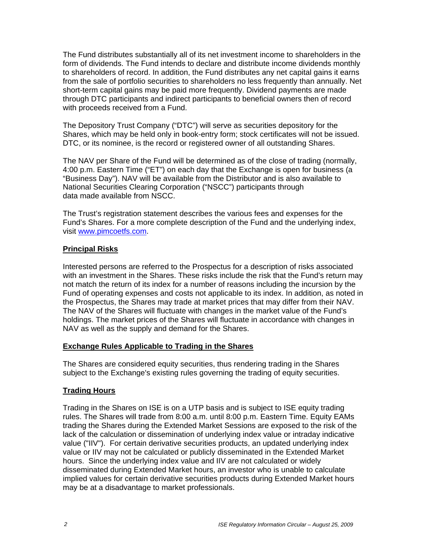The Fund distributes substantially all of its net investment income to shareholders in the form of dividends. The Fund intends to declare and distribute income dividends monthly to shareholders of record. In addition, the Fund distributes any net capital gains it earns from the sale of portfolio securities to shareholders no less frequently than annually. Net short-term capital gains may be paid more frequently. Dividend payments are made through DTC participants and indirect participants to beneficial owners then of record with proceeds received from a Fund.

The Depository Trust Company ("DTC") will serve as securities depository for the Shares, which may be held only in book-entry form; stock certificates will not be issued. DTC, or its nominee, is the record or registered owner of all outstanding Shares.

The NAV per Share of the Fund will be determined as of the close of trading (normally, 4:00 p.m. Eastern Time ("ET") on each day that the Exchange is open for business (a "Business Day"). NAV will be available from the Distributor and is also available to National Securities Clearing Corporation ("NSCC") participants through data made available from NSCC.

The Trust's registration statement describes the various fees and expenses for the Fund's Shares. For a more complete description of the Fund and the underlying index, visit www.pimcoetfs.com.

# **Principal Risks**

Interested persons are referred to the Prospectus for a description of risks associated with an investment in the Shares. These risks include the risk that the Fund's return may not match the return of its index for a number of reasons including the incursion by the Fund of operating expenses and costs not applicable to its index. In addition, as noted in the Prospectus, the Shares may trade at market prices that may differ from their NAV. The NAV of the Shares will fluctuate with changes in the market value of the Fund's holdings. The market prices of the Shares will fluctuate in accordance with changes in NAV as well as the supply and demand for the Shares.

#### **Exchange Rules Applicable to Trading in the Shares**

The Shares are considered equity securities, thus rendering trading in the Shares subject to the Exchange's existing rules governing the trading of equity securities.

# **Trading Hours**

Trading in the Shares on ISE is on a UTP basis and is subject to ISE equity trading rules. The Shares will trade from 8:00 a.m. until 8:00 p.m. Eastern Time. Equity EAMs trading the Shares during the Extended Market Sessions are exposed to the risk of the lack of the calculation or dissemination of underlying index value or intraday indicative value ("IIV"). For certain derivative securities products, an updated underlying index value or IIV may not be calculated or publicly disseminated in the Extended Market hours. Since the underlying index value and IIV are not calculated or widely disseminated during Extended Market hours, an investor who is unable to calculate implied values for certain derivative securities products during Extended Market hours may be at a disadvantage to market professionals.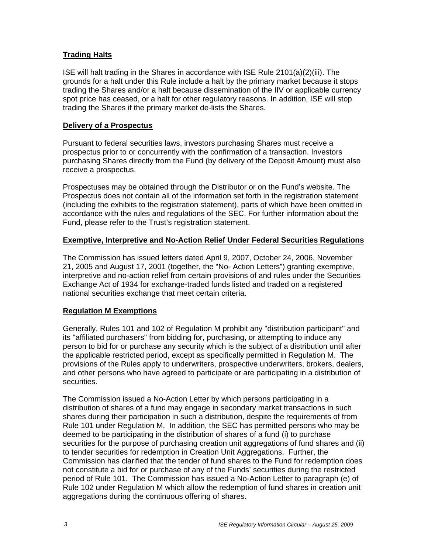# **Trading Halts**

ISE will halt trading in the Shares in accordance with ISE Rule 2101(a)(2)(iii). The grounds for a halt under this Rule include a halt by the primary market because it stops trading the Shares and/or a halt because dissemination of the IIV or applicable currency spot price has ceased, or a halt for other regulatory reasons. In addition, ISE will stop trading the Shares if the primary market de-lists the Shares.

#### **Delivery of a Prospectus**

Pursuant to federal securities laws, investors purchasing Shares must receive a prospectus prior to or concurrently with the confirmation of a transaction. Investors purchasing Shares directly from the Fund (by delivery of the Deposit Amount) must also receive a prospectus.

Prospectuses may be obtained through the Distributor or on the Fund's website. The Prospectus does not contain all of the information set forth in the registration statement (including the exhibits to the registration statement), parts of which have been omitted in accordance with the rules and regulations of the SEC. For further information about the Fund, please refer to the Trust's registration statement.

#### **Exemptive, Interpretive and No-Action Relief Under Federal Securities Regulations**

The Commission has issued letters dated April 9, 2007, October 24, 2006, November 21, 2005 and August 17, 2001 (together, the "No- Action Letters") granting exemptive, interpretive and no-action relief from certain provisions of and rules under the Securities Exchange Act of 1934 for exchange-traded funds listed and traded on a registered national securities exchange that meet certain criteria.

#### **Regulation M Exemptions**

Generally, Rules 101 and 102 of Regulation M prohibit any "distribution participant" and its "affiliated purchasers" from bidding for, purchasing, or attempting to induce any person to bid for or purchase any security which is the subject of a distribution until after the applicable restricted period, except as specifically permitted in Regulation M. The provisions of the Rules apply to underwriters, prospective underwriters, brokers, dealers, and other persons who have agreed to participate or are participating in a distribution of securities.

The Commission issued a No-Action Letter by which persons participating in a distribution of shares of a fund may engage in secondary market transactions in such shares during their participation in such a distribution, despite the requirements of from Rule 101 under Regulation M. In addition, the SEC has permitted persons who may be deemed to be participating in the distribution of shares of a fund (i) to purchase securities for the purpose of purchasing creation unit aggregations of fund shares and (ii) to tender securities for redemption in Creation Unit Aggregations. Further, the Commission has clarified that the tender of fund shares to the Fund for redemption does not constitute a bid for or purchase of any of the Funds' securities during the restricted period of Rule 101. The Commission has issued a No-Action Letter to paragraph (e) of Rule 102 under Regulation M which allow the redemption of fund shares in creation unit aggregations during the continuous offering of shares.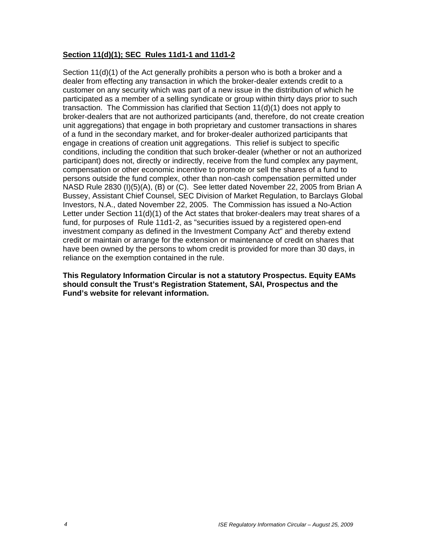#### **Section 11(d)(1); SEC Rules 11d1-1 and 11d1-2**

Section 11(d)(1) of the Act generally prohibits a person who is both a broker and a dealer from effecting any transaction in which the broker-dealer extends credit to a customer on any security which was part of a new issue in the distribution of which he participated as a member of a selling syndicate or group within thirty days prior to such transaction. The Commission has clarified that Section 11(d)(1) does not apply to broker-dealers that are not authorized participants (and, therefore, do not create creation unit aggregations) that engage in both proprietary and customer transactions in shares of a fund in the secondary market, and for broker-dealer authorized participants that engage in creations of creation unit aggregations. This relief is subject to specific conditions, including the condition that such broker-dealer (whether or not an authorized participant) does not, directly or indirectly, receive from the fund complex any payment, compensation or other economic incentive to promote or sell the shares of a fund to persons outside the fund complex, other than non-cash compensation permitted under NASD Rule 2830 (I)(5)(A), (B) or (C). See letter dated November 22, 2005 from Brian A Bussey, Assistant Chief Counsel, SEC Division of Market Regulation, to Barclays Global Investors, N.A., dated November 22, 2005. The Commission has issued a No-Action Letter under Section 11(d)(1) of the Act states that broker-dealers may treat shares of a fund, for purposes of Rule 11d1-2, as "securities issued by a registered open-end investment company as defined in the Investment Company Act" and thereby extend credit or maintain or arrange for the extension or maintenance of credit on shares that have been owned by the persons to whom credit is provided for more than 30 days, in reliance on the exemption contained in the rule.

**This Regulatory Information Circular is not a statutory Prospectus. Equity EAMs should consult the Trust's Registration Statement, SAI, Prospectus and the Fund's website for relevant information.**